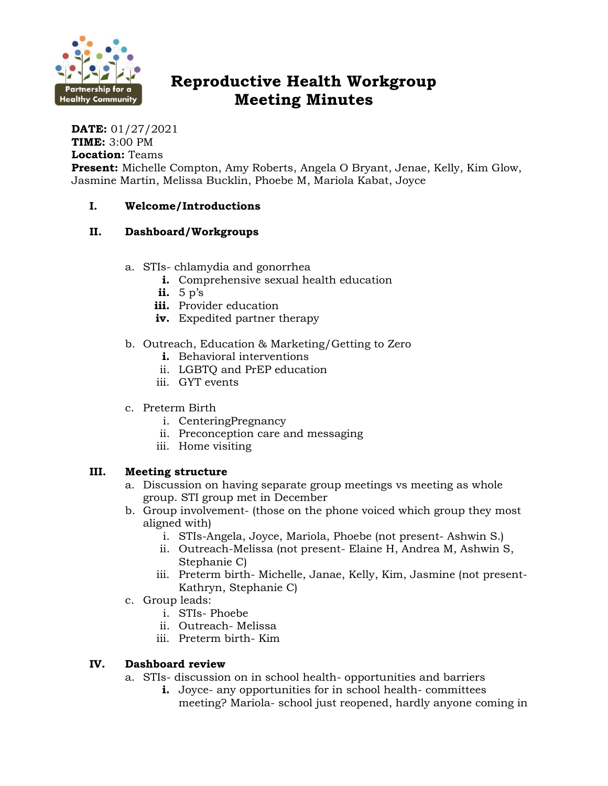

# **Reproductive Health Workgroup Meeting Minutes**

**DATE:** 01/27/2021 **TIME:** 3:00 PM **Location:** Teams

**Present:** Michelle Compton, Amy Roberts, Angela O Bryant, Jenae, Kelly, Kim Glow, Jasmine Martin, Melissa Bucklin, Phoebe M, Mariola Kabat, Joyce

### **I. Welcome/Introductions**

## **II. Dashboard/Workgroups**

- a. STIs- chlamydia and gonorrhea
	- **i.** Comprehensive sexual health education
	- **ii.** 5 p's
	- **iii.** Provider education
	- **iv.** Expedited partner therapy
- b. Outreach, Education & Marketing/Getting to Zero
	- **i.** Behavioral interventions
	- ii. LGBTQ and PrEP education
	- iii. GYT events
- c. Preterm Birth
	- i. CenteringPregnancy
	- ii. Preconception care and messaging
	- iii. Home visiting

#### **III. Meeting structure**

- a. Discussion on having separate group meetings vs meeting as whole group. STI group met in December
- b. Group involvement- (those on the phone voiced which group they most aligned with)
	- i. STIs-Angela, Joyce, Mariola, Phoebe (not present- Ashwin S.)
	- ii. Outreach-Melissa (not present- Elaine H, Andrea M, Ashwin S, Stephanie C)
	- iii. Preterm birth- Michelle, Janae, Kelly, Kim, Jasmine (not present-Kathryn, Stephanie C)
- c. Group leads:
	- i. STIs- Phoebe
	- ii. Outreach- Melissa
	- iii. Preterm birth- Kim

#### **IV. Dashboard review**

- a. STIs- discussion on in school health- opportunities and barriers
	- **i.** Joyce- any opportunities for in school health- committees meeting? Mariola- school just reopened, hardly anyone coming in